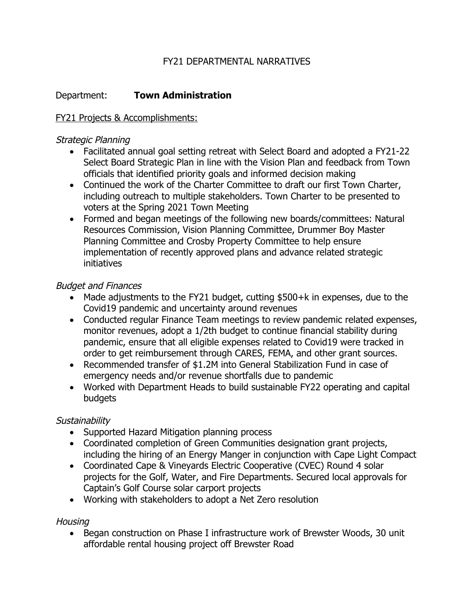#### FY21 DEPARTMENTAL NARRATIVES

#### Department: **Town Administration**

#### FY21 Projects & Accomplishments:

#### Strategic Planning

- Facilitated annual goal setting retreat with Select Board and adopted a FY21-22 Select Board Strategic Plan in line with the Vision Plan and feedback from Town officials that identified priority goals and informed decision making
- Continued the work of the Charter Committee to draft our first Town Charter, including outreach to multiple stakeholders. Town Charter to be presented to voters at the Spring 2021 Town Meeting
- Formed and began meetings of the following new boards/committees: Natural Resources Commission, Vision Planning Committee, Drummer Boy Master Planning Committee and Crosby Property Committee to help ensure implementation of recently approved plans and advance related strategic initiatives

#### Budget and Finances

- Made adjustments to the FY21 budget, cutting \$500+k in expenses, due to the Covid19 pandemic and uncertainty around revenues
- Conducted regular Finance Team meetings to review pandemic related expenses, monitor revenues, adopt a 1/2th budget to continue financial stability during pandemic, ensure that all eligible expenses related to Covid19 were tracked in order to get reimbursement through CARES, FEMA, and other grant sources.
- Recommended transfer of \$1.2M into General Stabilization Fund in case of emergency needs and/or revenue shortfalls due to pandemic
- Worked with Department Heads to build sustainable FY22 operating and capital budgets

#### **Sustainability**

- Supported Hazard Mitigation planning process
- Coordinated completion of Green Communities designation grant projects, including the hiring of an Energy Manger in conjunction with Cape Light Compact
- Coordinated Cape & Vineyards Electric Cooperative (CVEC) Round 4 solar projects for the Golf, Water, and Fire Departments. Secured local approvals for Captain's Golf Course solar carport projects
- Working with stakeholders to adopt a Net Zero resolution

#### **Housing**

• Began construction on Phase I infrastructure work of Brewster Woods, 30 unit affordable rental housing project off Brewster Road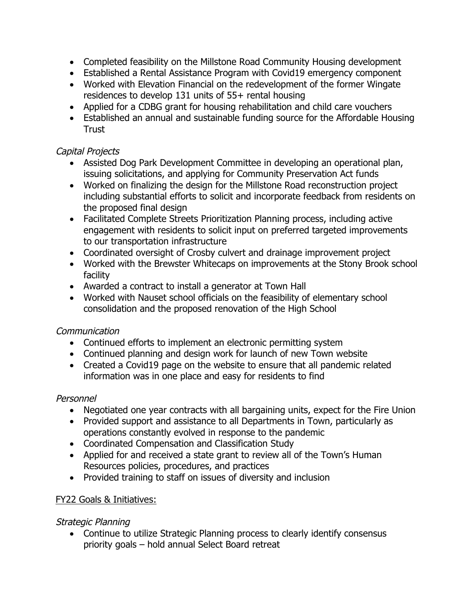- Completed feasibility on the Millstone Road Community Housing development
- Established a Rental Assistance Program with Covid19 emergency component
- Worked with Elevation Financial on the redevelopment of the former Wingate residences to develop 131 units of 55+ rental housing
- Applied for a CDBG grant for housing rehabilitation and child care vouchers
- Established an annual and sustainable funding source for the Affordable Housing **Trust**

#### Capital Projects

- Assisted Dog Park Development Committee in developing an operational plan, issuing solicitations, and applying for Community Preservation Act funds
- Worked on finalizing the design for the Millstone Road reconstruction project including substantial efforts to solicit and incorporate feedback from residents on the proposed final design
- Facilitated Complete Streets Prioritization Planning process, including active engagement with residents to solicit input on preferred targeted improvements to our transportation infrastructure
- Coordinated oversight of Crosby culvert and drainage improvement project
- Worked with the Brewster Whitecaps on improvements at the Stony Brook school facility
- Awarded a contract to install a generator at Town Hall
- Worked with Nauset school officials on the feasibility of elementary school consolidation and the proposed renovation of the High School

# **Communication**

- Continued efforts to implement an electronic permitting system
- Continued planning and design work for launch of new Town website
- Created a Covid19 page on the website to ensure that all pandemic related information was in one place and easy for residents to find

# Personnel

- Negotiated one year contracts with all bargaining units, expect for the Fire Union
- Provided support and assistance to all Departments in Town, particularly as operations constantly evolved in response to the pandemic
- Coordinated Compensation and Classification Study
- Applied for and received a state grant to review all of the Town's Human Resources policies, procedures, and practices
- Provided training to staff on issues of diversity and inclusion

# FY22 Goals & Initiatives:

# Strategic Planning

 Continue to utilize Strategic Planning process to clearly identify consensus priority goals – hold annual Select Board retreat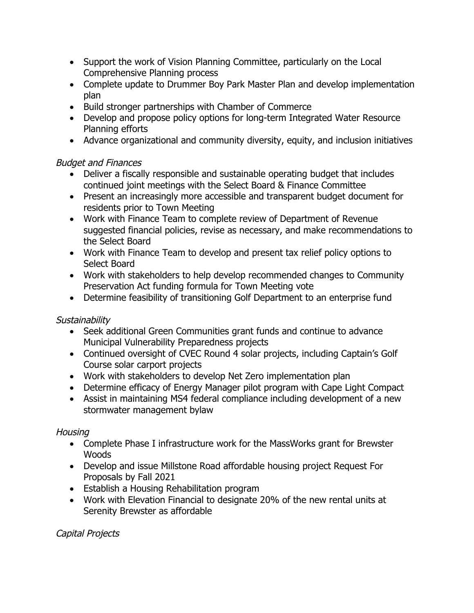- Support the work of Vision Planning Committee, particularly on the Local Comprehensive Planning process
- Complete update to Drummer Boy Park Master Plan and develop implementation plan
- Build stronger partnerships with Chamber of Commerce
- Develop and propose policy options for long-term Integrated Water Resource Planning efforts
- Advance organizational and community diversity, equity, and inclusion initiatives

# Budget and Finances

- Deliver a fiscally responsible and sustainable operating budget that includes continued joint meetings with the Select Board & Finance Committee
- Present an increasingly more accessible and transparent budget document for residents prior to Town Meeting
- Work with Finance Team to complete review of Department of Revenue suggested financial policies, revise as necessary, and make recommendations to the Select Board
- Work with Finance Team to develop and present tax relief policy options to Select Board
- Work with stakeholders to help develop recommended changes to Community Preservation Act funding formula for Town Meeting vote
- Determine feasibility of transitioning Golf Department to an enterprise fund

# **Sustainability**

- Seek additional Green Communities grant funds and continue to advance Municipal Vulnerability Preparedness projects
- Continued oversight of CVEC Round 4 solar projects, including Captain's Golf Course solar carport projects
- Work with stakeholders to develop Net Zero implementation plan
- Determine efficacy of Energy Manager pilot program with Cape Light Compact
- Assist in maintaining MS4 federal compliance including development of a new stormwater management bylaw

# **Housing**

- Complete Phase I infrastructure work for the MassWorks grant for Brewster Woods
- Develop and issue Millstone Road affordable housing project Request For Proposals by Fall 2021
- Establish a Housing Rehabilitation program
- Work with Elevation Financial to designate 20% of the new rental units at Serenity Brewster as affordable

# Capital Projects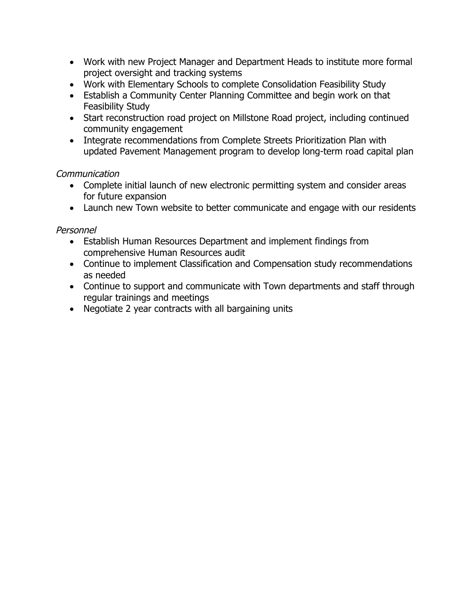- Work with new Project Manager and Department Heads to institute more formal project oversight and tracking systems
- Work with Elementary Schools to complete Consolidation Feasibility Study
- Establish a Community Center Planning Committee and begin work on that Feasibility Study
- Start reconstruction road project on Millstone Road project, including continued community engagement
- Integrate recommendations from Complete Streets Prioritization Plan with updated Pavement Management program to develop long-term road capital plan

#### Communication

- Complete initial launch of new electronic permitting system and consider areas for future expansion
- Launch new Town website to better communicate and engage with our residents

#### Personnel

- Establish Human Resources Department and implement findings from comprehensive Human Resources audit
- Continue to implement Classification and Compensation study recommendations as needed
- Continue to support and communicate with Town departments and staff through regular trainings and meetings
- Negotiate 2 year contracts with all bargaining units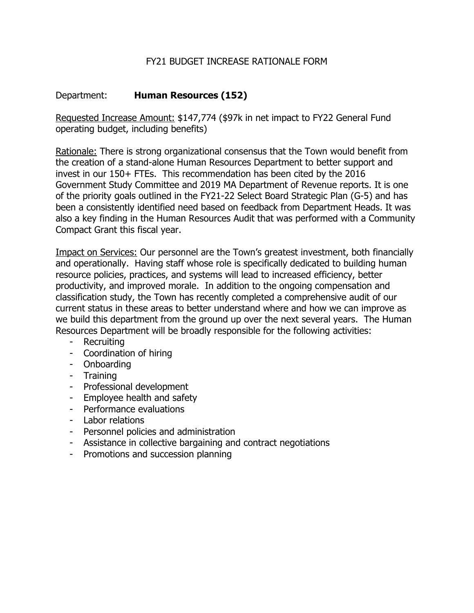#### FY21 BUDGET INCREASE RATIONALE FORM

#### Department: **Human Resources (152)**

Requested Increase Amount: \$147,774 (\$97k in net impact to FY22 General Fund operating budget, including benefits)

Rationale: There is strong organizational consensus that the Town would benefit from the creation of a stand-alone Human Resources Department to better support and invest in our 150+ FTEs. This recommendation has been cited by the 2016 Government Study Committee and 2019 MA Department of Revenue reports. It is one of the priority goals outlined in the FY21-22 Select Board Strategic Plan (G-5) and has been a consistently identified need based on feedback from Department Heads. It was also a key finding in the Human Resources Audit that was performed with a Community Compact Grant this fiscal year.

Impact on Services: Our personnel are the Town's greatest investment, both financially and operationally. Having staff whose role is specifically dedicated to building human resource policies, practices, and systems will lead to increased efficiency, better productivity, and improved morale. In addition to the ongoing compensation and classification study, the Town has recently completed a comprehensive audit of our current status in these areas to better understand where and how we can improve as we build this department from the ground up over the next several years. The Human Resources Department will be broadly responsible for the following activities:

- Recruiting
- Coordination of hiring
- Onboarding
- Training
- Professional development
- Employee health and safety
- Performance evaluations
- Labor relations
- Personnel policies and administration
- Assistance in collective bargaining and contract negotiations
- Promotions and succession planning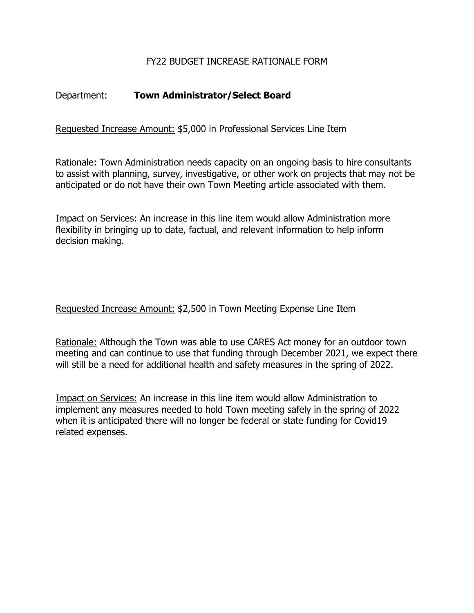#### FY22 BUDGET INCREASE RATIONALE FORM

#### Department: **Town Administrator/Select Board**

Requested Increase Amount: \$5,000 in Professional Services Line Item

Rationale: Town Administration needs capacity on an ongoing basis to hire consultants to assist with planning, survey, investigative, or other work on projects that may not be anticipated or do not have their own Town Meeting article associated with them.

Impact on Services: An increase in this line item would allow Administration more flexibility in bringing up to date, factual, and relevant information to help inform decision making.

Requested Increase Amount: \$2,500 in Town Meeting Expense Line Item

Rationale: Although the Town was able to use CARES Act money for an outdoor town meeting and can continue to use that funding through December 2021, we expect there will still be a need for additional health and safety measures in the spring of 2022.

Impact on Services: An increase in this line item would allow Administration to implement any measures needed to hold Town meeting safely in the spring of 2022 when it is anticipated there will no longer be federal or state funding for Covid19 related expenses.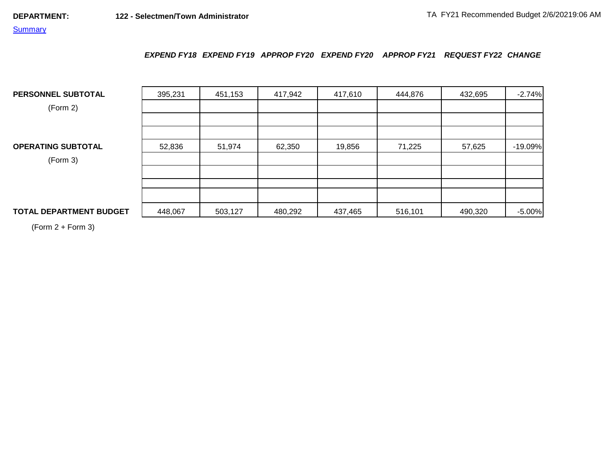#### **Summary**

#### *EXPEND FY18 EXPEND FY19 APPROP FY20 EXPEND FY20 APPROP FY21 REQUEST FY22 CHANGE*

| <b>PERSONNEL SUBTOTAL</b>      | 395,231 | 451,153 | 417,942 | 417,610 | 444,876 | 432,695 | $-2.74%$  |
|--------------------------------|---------|---------|---------|---------|---------|---------|-----------|
| (Form 2)                       |         |         |         |         |         |         |           |
|                                |         |         |         |         |         |         |           |
|                                |         |         |         |         |         |         |           |
| <b>OPERATING SUBTOTAL</b>      | 52,836  | 51,974  | 62,350  | 19,856  | 71,225  | 57,625  | $-19.09%$ |
| (Form 3)                       |         |         |         |         |         |         |           |
|                                |         |         |         |         |         |         |           |
|                                |         |         |         |         |         |         |           |
|                                |         |         |         |         |         |         |           |
| <b>TOTAL DEPARTMENT BUDGET</b> | 448,067 | 503,127 | 480,292 | 437,465 | 516,101 | 490,320 | $-5.00%$  |

(Form 2 + Form 3)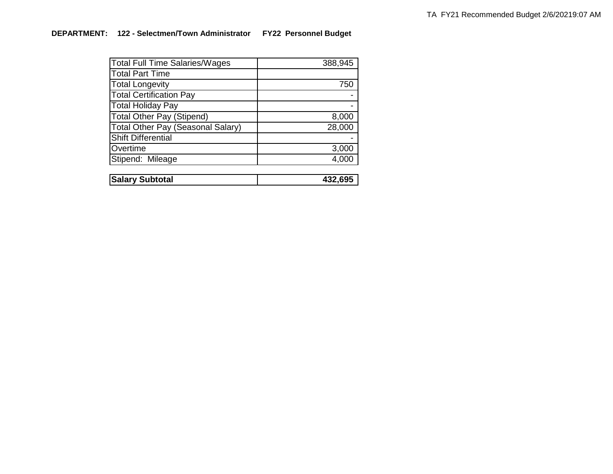#### **DEPARTMENT: 122 - Selectmen/Town Administrator FY22 Personnel Budget**

| <b>Total Full Time Salaries/Wages</b>    | 388,945 |
|------------------------------------------|---------|
| <b>Total Part Time</b>                   |         |
| <b>Total Longevity</b>                   | 750     |
| <b>Total Certification Pay</b>           |         |
| <b>Total Holiday Pay</b>                 |         |
| <b>Total Other Pay (Stipend)</b>         | 8,000   |
| <b>Total Other Pay (Seasonal Salary)</b> | 28,000  |
| <b>Shift Differential</b>                |         |
| Overtime                                 | 3,000   |
| Stipend: Mileage                         | 4,000   |
|                                          |         |

| <b>Salary Subtotal</b> | 432,695 |
|------------------------|---------|
|                        |         |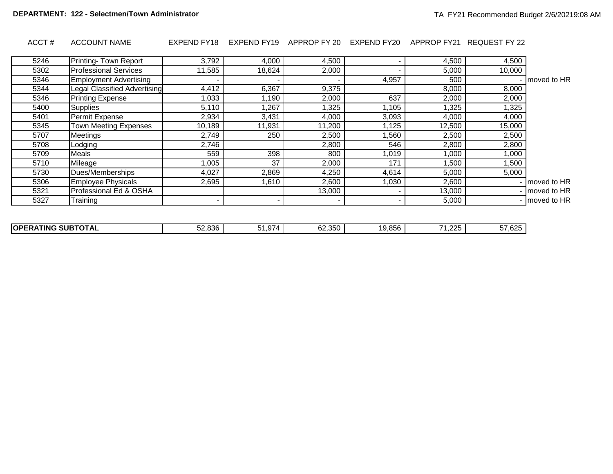| ACCT # | <b>ACCOUNT NAME</b> |  |  | EXPEND FY18 EXPEND FY19 APPROP FY 20 EXPEND FY20 APPROP FY21 REQUEST FY 22 |  |  |  |
|--------|---------------------|--|--|----------------------------------------------------------------------------|--|--|--|
|--------|---------------------|--|--|----------------------------------------------------------------------------|--|--|--|

| 5246 | Printing- Town Report         | 3,792  | 4,000  | 4,500  |             | 4,500  | 4,500  |               |
|------|-------------------------------|--------|--------|--------|-------------|--------|--------|---------------|
| 5302 | <b>Professional Services</b>  | 11,585 | 18,624 | 2,000  |             | 5,000  | 10,000 |               |
| 5346 | <b>Employment Advertising</b> |        |        |        | 4,957       | 500    |        | moved to HR   |
| 5344 | Legal Classified Advertising  | 4,412  | 6,367  | 9,375  |             | 8,000  | 8,000  |               |
| 5346 | <b>Printing Expense</b>       | ,033   | 1,190  | 2,000  | 637         | 2,000  | 2,000  |               |
| 5400 | <b>Supplies</b>               | 5,110  | 1,267  | 1,325  | 1,105       | 1,325  | 1,325  |               |
| 5401 | Permit Expense                | 2,934  | 3,431  | 4,000  | 3,093       | 4,000  | 4,000  |               |
| 5345 | <b>Town Meeting Expenses</b>  | 10,189 | 11,931 | 11,200 | 1,125       | 12,500 | 15,000 |               |
| 5707 | Meetings                      | 2,749  | 250    | 2,500  | <b>.560</b> | 2,500  | 2,500  |               |
| 5708 | Lodging                       | 2,746  |        | 2,800  | 546         | 2,800  | 2,800  |               |
| 5709 | Meals                         | 559    | 398    | 800    | 1,019       | 1,000  | 000, ا |               |
| 5710 | Mileage                       | .005   | 37     | 2,000  | 171         | 1,500  | 500, ا |               |
| 5730 | Dues/Memberships              | 4,027  | 2,869  | 4,250  | 4,614       | 5,000  | 5,000  |               |
| 5306 | <b>Employee Physicals</b>     | 2,695  | 1,610  | 2,600  | 1,030       | 2,600  |        | I moved to HR |
| 5321 | Professional Ed & OSHA        |        |        | 13,000 |             | 13,000 |        | moved to HR   |
| 5327 | Training                      |        |        |        |             | 5,000  |        | Imoved to HR  |

| <b>SURTOTA</b><br><b>OPF</b><br>'ING<br>IOIAL<br>. . | .836<br>$ \sim$<br>JZ | $\sim$ $\sim$<br>- -<br>Q/A<br>. | 62.350 | QFA<br>v.ovo | $\sim$<br>$\overline{\phantom{a}}$<br>. | --<br>$\sim$<br><br><br>. ت |
|------------------------------------------------------|-----------------------|----------------------------------|--------|--------------|-----------------------------------------|-----------------------------|
|                                                      |                       |                                  |        |              |                                         |                             |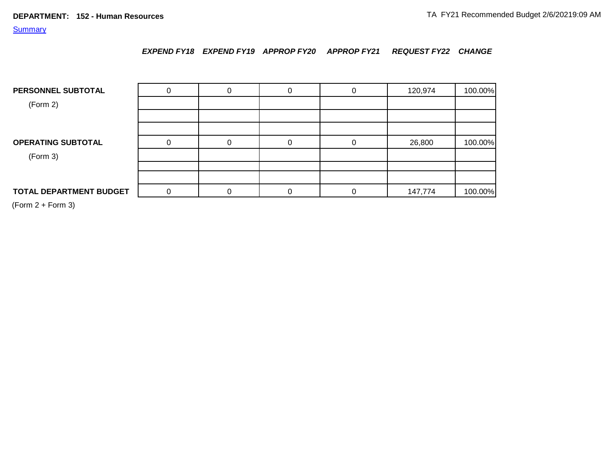#### **Summary**

#### *EXPEND FY18 EXPEND FY19 APPROP FY20 APPROP FY21 REQUEST FY22 CHANGE*

| PERSONNEL SUBTOTAL        |  |  | 120,974 | 100.00% |
|---------------------------|--|--|---------|---------|
| (Form 2)                  |  |  |         |         |
|                           |  |  |         |         |
|                           |  |  |         |         |
| <b>OPERATING SUBTOTAL</b> |  |  | 26,800  | 100.00% |
| (Form 3)                  |  |  |         |         |
|                           |  |  |         |         |
|                           |  |  |         |         |
| TOTAL DEPARTMENT BUDGET   |  |  | 147,774 | 100.00% |

(Form 2 + Form 3)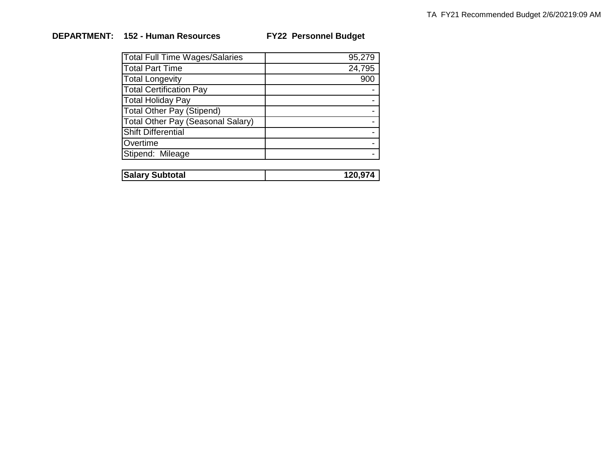# **DEPARTMENT: 152 - Human Resources FY22 Personnel Budget**

| <b>Total Full Time Wages/Salaries</b> | 95,279 |
|---------------------------------------|--------|
| Total Part Time                       | 24,795 |
| <b>Total Longevity</b>                | 900    |
| <b>Total Certification Pay</b>        |        |
| <b>Total Holiday Pay</b>              |        |
| <b>Total Other Pay (Stipend)</b>      |        |
| Total Other Pay (Seasonal Salary)     |        |
| <b>Shift Differential</b>             |        |
| <b>Overtime</b>                       |        |
| Stipend: Mileage                      |        |
|                                       |        |

| <b>Salary Subtotal</b> | 120,974 |
|------------------------|---------|
|                        |         |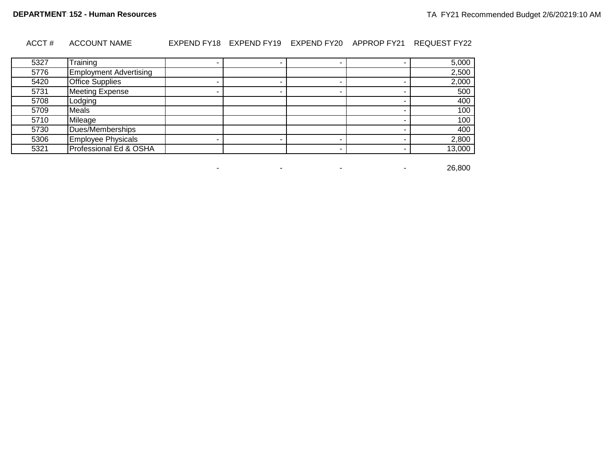#### ACCT # ACCOUNT NAME EXPEND FY18 EXPEND FY19 EXPEND FY20 APPROP FY21 REQUEST FY22

| 5327 | Training                      |  |  | 5,000  |
|------|-------------------------------|--|--|--------|
| 5776 | <b>Employment Advertising</b> |  |  | 2,500  |
| 5420 | <b>Office Supplies</b>        |  |  | 2,000  |
| 5731 | <b>Meeting Expense</b>        |  |  | 500    |
| 5708 | Lodging                       |  |  | 400    |
| 5709 | <b>Meals</b>                  |  |  | 100    |
| 5710 | Mileage                       |  |  | 100    |
| 5730 | Dues/Memberships              |  |  | 400    |
| 5306 | <b>Employee Physicals</b>     |  |  | 2,800  |
| 5321 | Professional Ed & OSHA        |  |  | 13,000 |

- - - - 26,800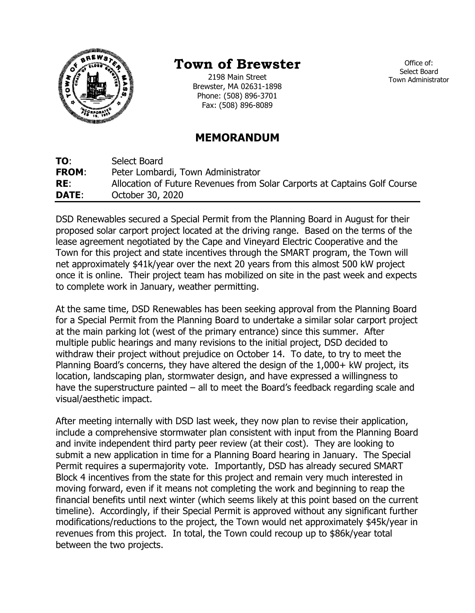

# **Town of Brewster**

2198 Main Street Brewster, MA 02631-1898 Phone: (508) 896-3701 Fax: (508) 896-8089

**MEMORANDUM** 

| TO:          | Select Board                                                              |
|--------------|---------------------------------------------------------------------------|
| <b>FROM:</b> | Peter Lombardi, Town Administrator                                        |
| RE:          | Allocation of Future Revenues from Solar Carports at Captains Golf Course |
| <b>DATE:</b> | October 30, 2020                                                          |

DSD Renewables secured a Special Permit from the Planning Board in August for their proposed solar carport project located at the driving range. Based on the terms of the lease agreement negotiated by the Cape and Vineyard Electric Cooperative and the Town for this project and state incentives through the SMART program, the Town will net approximately \$41k/year over the next 20 years from this almost 500 kW project once it is online. Their project team has mobilized on site in the past week and expects to complete work in January, weather permitting.

At the same time, DSD Renewables has been seeking approval from the Planning Board for a Special Permit from the Planning Board to undertake a similar solar carport project at the main parking lot (west of the primary entrance) since this summer. After multiple public hearings and many revisions to the initial project, DSD decided to withdraw their project without prejudice on October 14. To date, to try to meet the Planning Board's concerns, they have altered the design of the 1,000+ kW project, its location, landscaping plan, stormwater design, and have expressed a willingness to have the superstructure painted – all to meet the Board's feedback regarding scale and visual/aesthetic impact.

After meeting internally with DSD last week, they now plan to revise their application, include a comprehensive stormwater plan consistent with input from the Planning Board and invite independent third party peer review (at their cost). They are looking to submit a new application in time for a Planning Board hearing in January. The Special Permit requires a supermajority vote. Importantly, DSD has already secured SMART Block 4 incentives from the state for this project and remain very much interested in moving forward, even if it means not completing the work and beginning to reap the financial benefits until next winter (which seems likely at this point based on the current timeline). Accordingly, if their Special Permit is approved without any significant further modifications/reductions to the project, the Town would net approximately \$45k/year in revenues from this project. In total, the Town could recoup up to \$86k/year total between the two projects.

Office of: Select Board Town Administrator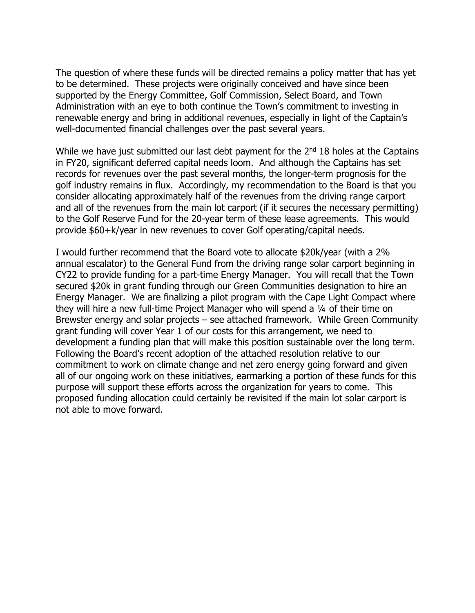The question of where these funds will be directed remains a policy matter that has yet to be determined. These projects were originally conceived and have since been supported by the Energy Committee, Golf Commission, Select Board, and Town Administration with an eye to both continue the Town's commitment to investing in renewable energy and bring in additional revenues, especially in light of the Captain's well-documented financial challenges over the past several years.

While we have just submitted our last debt payment for the  $2<sup>nd</sup> 18$  holes at the Captains in FY20, significant deferred capital needs loom. And although the Captains has set records for revenues over the past several months, the longer-term prognosis for the golf industry remains in flux. Accordingly, my recommendation to the Board is that you consider allocating approximately half of the revenues from the driving range carport and all of the revenues from the main lot carport (if it secures the necessary permitting) to the Golf Reserve Fund for the 20-year term of these lease agreements. This would provide \$60+k/year in new revenues to cover Golf operating/capital needs.

I would further recommend that the Board vote to allocate \$20k/year (with a 2% annual escalator) to the General Fund from the driving range solar carport beginning in CY22 to provide funding for a part-time Energy Manager. You will recall that the Town secured \$20k in grant funding through our Green Communities designation to hire an Energy Manager. We are finalizing a pilot program with the Cape Light Compact where they will hire a new full-time Project Manager who will spend a ¼ of their time on Brewster energy and solar projects – see attached framework. While Green Community grant funding will cover Year 1 of our costs for this arrangement, we need to development a funding plan that will make this position sustainable over the long term. Following the Board's recent adoption of the attached resolution relative to our commitment to work on climate change and net zero energy going forward and given all of our ongoing work on these initiatives, earmarking a portion of these funds for this purpose will support these efforts across the organization for years to come. This proposed funding allocation could certainly be revisited if the main lot solar carport is not able to move forward.